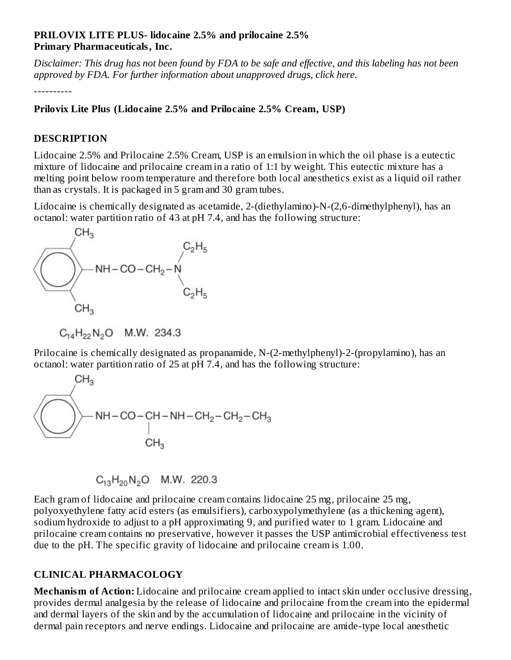#### **PRILOVIX LITE PLUS- lidocaine 2.5% and prilocaine 2.5% Primary Pharmaceuticals, Inc.**

Disclaimer: This drug has not been found by FDA to be safe and effective, and this labeling has not been *approved by FDA. For further information about unapproved drugs, click here.*

----------

### **Prilovix Lite Plus (Lidocaine 2.5% and Prilocaine 2.5% Cream, USP)**

### **DESCRIPTION**

Lidocaine 2.5% and Prilocaine 2.5% Cream, USP is an emulsion in which the oil phase is a eutectic mixture of lidocaine and prilocaine cream in a ratio of 1:1 by weight. This eutectic mixture has a melting point below room temperature and therefore both local anesthetics exist as a liquid oil rather than as crystals. It is packaged in 5 gram and 30 gram tubes.

Lidocaine is chemically designated as acetamide, 2-(diethylamino)-N-(2,6-dimethylphenyl), has an octanol: water partition ratio of 43 at pH 7.4, and has the following structure:



 $C_{14}H_{22}N_2O$  M.W. 234.3

Prilocaine is chemically designated as propanamide, N-(2-methylphenyl)-2-(propylamino), has an octanol: water partition ratio of 25 at pH 7.4, and has the following structure:



$$
C_{13}H_{20}N_2O
$$
 M.W. 220.3

Each gram of lidocaine and prilocaine cream contains lidocaine 25 mg, prilocaine 25 mg, polyoxyethylene fatty acid esters (as emulsifiers), carboxypolymethylene (as a thickening agent), sodium hydroxide to adjust to a pH approximating 9, and purified water to 1 gram. Lidocaine and prilocaine cream contains no preservative, however it passes the USP antimicrobial effectiveness test due to the pH. The specific gravity of lidocaine and prilocaine cream is 1.00.

## **CLINICAL PHARMACOLOGY**

**Mechanism of Action:** Lidocaine and prilocaine cream applied to intact skin under occlusive dressing, provides dermal analgesia by the release of lidocaine and prilocaine from the cream into the epidermal and dermal layers of the skin and by the accumulation of lidocaine and prilocaine in the vicinity of dermal pain receptors and nerve endings. Lidocaine and prilocaine are amide-type local anesthetic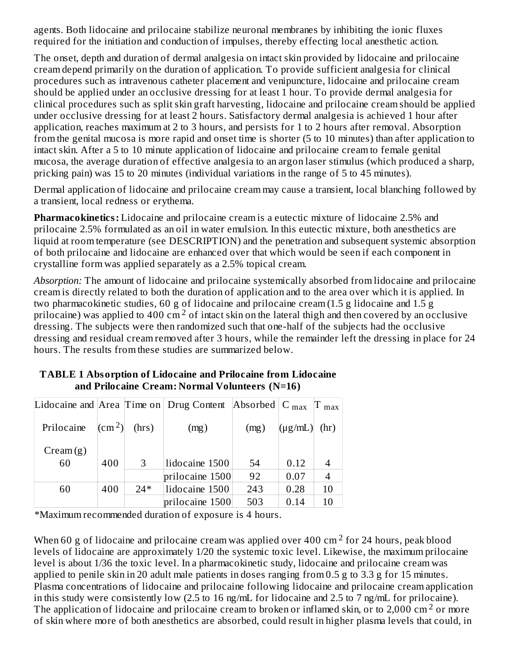agents. Both lidocaine and prilocaine stabilize neuronal membranes by inhibiting the ionic fluxes required for the initiation and conduction of impulses, thereby effecting local anesthetic action.

The onset, depth and duration of dermal analgesia on intact skin provided by lidocaine and prilocaine cream depend primarily on the duration of application. To provide sufficient analgesia for clinical procedures such as intravenous catheter placement and venipuncture, lidocaine and prilocaine cream should be applied under an occlusive dressing for at least 1 hour. To provide dermal analgesia for clinical procedures such as split skin graft harvesting, lidocaine and prilocaine cream should be applied under occlusive dressing for at least 2 hours. Satisfactory dermal analgesia is achieved 1 hour after application, reaches maximum at 2 to 3 hours, and persists for 1 to 2 hours after removal. Absorption from the genital mucosa is more rapid and onset time is shorter (5 to 10 minutes) than after application to intact skin. After a 5 to 10 minute application of lidocaine and prilocaine cream to female genital mucosa, the average duration of effective analgesia to an argon laser stimulus (which produced a sharp, pricking pain) was 15 to 20 minutes (individual variations in the range of 5 to 45 minutes).

Dermal application of lidocaine and prilocaine cream may cause a transient, local blanching followed by a transient, local redness or erythema.

**Pharmacokinetics:** Lidocaine and prilocaine cream is a eutectic mixture of lidocaine 2.5% and prilocaine 2.5% formulated as an oil in water emulsion. In this eutectic mixture, both anesthetics are liquid at room temperature (see DESCRIPTION) and the penetration and subsequent systemic absorption of both prilocaine and lidocaine are enhanced over that which would be seen if each component in crystalline form was applied separately as a 2.5% topical cream.

*Absorption:* The amount of lidocaine and prilocaine systemically absorbed from lidocaine and prilocaine cream is directly related to both the duration of application and to the area over which it is applied. In two pharmacokinetic studies, 60 g of lidocaine and prilocaine cream (1.5 g lidocaine and 1.5 g prilocaine) was applied to 400 cm<sup>2</sup> of intact skin on the lateral thigh and then covered by an occlusive dressing. The subjects were then randomized such that one-half of the subjects had the occlusive dressing and residual cream removed after 3 hours, while the remainder left the dressing in place for 24 hours. The results from these studies are summarized below.

|                |                              |       | Lidocaine and Area Time on Drug Content<br>Absorbed $ C_{max} $ |      |              | $\Gamma$ max   |
|----------------|------------------------------|-------|-----------------------------------------------------------------|------|--------------|----------------|
| Prilocaine     | $\lfloor$ (cm <sup>2</sup> ) | (hrs) | (mg)                                                            | (mg) | $(\mu g/mL)$ | (hr)           |
| $C$ ream $(g)$ |                              |       |                                                                 |      |              |                |
| 60             | 400                          | 3     | lidocaine 1500                                                  | 54   | 0.12         |                |
|                |                              |       | prilocaine 1500                                                 | 92   | 0.07         | $\overline{4}$ |
| 60             | 400                          | $24*$ | lidocaine 1500                                                  | 243  | 0.28         | 10             |
|                |                              |       | prilocaine 1500                                                 | 503  | 0.14         | 10             |

### **TABLE 1 Absorption of Lidocaine and Prilocaine from Lidocaine and Prilocaine Cream: Normal Volunteers (N=16)**

\*Maximum recommended duration of exposure is 4 hours.

When 60 g of lidocaine and prilocaine cream was applied over 400 cm<sup>2</sup> for 24 hours, peak blood levels of lidocaine are approximately 1/20 the systemic toxic level. Likewise, the maximum prilocaine level is about 1/36 the toxic level. In a pharmacokinetic study, lidocaine and prilocaine cream was applied to penile skin in 20 adult male patients in doses ranging from 0.5 g to 3.3 g for 15 minutes. Plasma concentrations of lidocaine and prilocaine following lidocaine and prilocaine cream application in this study were consistently low (2.5 to 16 ng/mL for lidocaine and 2.5 to 7 ng/mL for prilocaine). The application of lidocaine and prilocaine cream to broken or inflamed skin, or to 2,000 cm<sup>2</sup> or more of skin where more of both anesthetics are absorbed, could result in higher plasma levels that could, in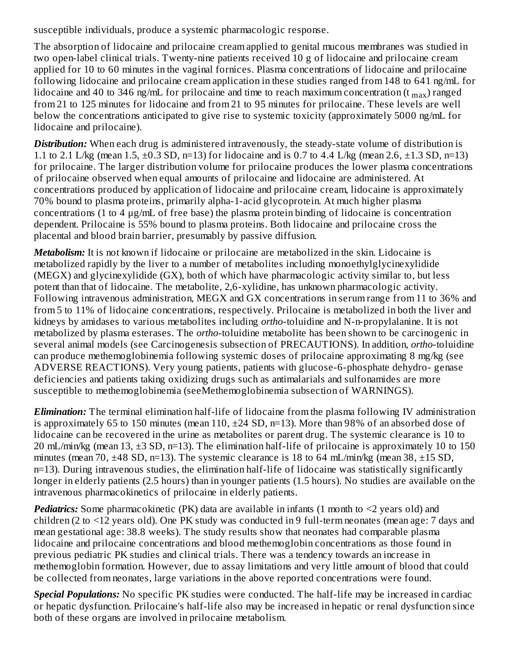susceptible individuals, produce a systemic pharmacologic response.

The absorption of lidocaine and prilocaine cream applied to genital mucous membranes was studied in two open-label clinical trials. Twenty-nine patients received 10 g of lidocaine and prilocaine cream applied for 10 to 60 minutes in the vaginal fornices. Plasma concentrations of lidocaine and prilocaine following lidocaine and prilocaine cream application in these studies ranged from 148 to 641 ng/mL for lidocaine and 40 to 346 ng/mL for prilocaine and time to reach maximum concentration (t  $_{\rm max}$ ) ranged from 21 to 125 minutes for lidocaine and from 21 to 95 minutes for prilocaine. These levels are well below the concentrations anticipated to give rise to systemic toxicity (approximately 5000 ng/mL for lidocaine and prilocaine).

**Distribution:** When each drug is administered intravenously, the steady-state volume of distribution is 1.1 to 2.1 L/kg (mean 1.5,  $\pm$ 0.3 SD, n=13) for lidocaine and is 0.7 to 4.4 L/kg (mean 2.6,  $\pm$ 1.3 SD, n=13) for prilocaine. The larger distribution volume for prilocaine produces the lower plasma concentrations of prilocaine observed when equal amounts of prilocaine and lidocaine are administered. At concentrations produced by application of lidocaine and prilocaine cream, lidocaine is approximately 70% bound to plasma proteins, primarily alpha-1-acid glycoprotein. At much higher plasma concentrations (1 to 4 μg/mL of free base) the plasma protein binding of lidocaine is concentration dependent. Prilocaine is 55% bound to plasma proteins. Both lidocaine and prilocaine cross the placental and blood brain barrier, presumably by passive diffusion.

*Metabolism:* It is not known if lidocaine or prilocaine are metabolized in the skin. Lidocaine is metabolized rapidly by the liver to a number of metabolites including monoethylglycinexylidide (MEGX) and glycinexylidide (GX), both of which have pharmacologic activity similar to, but less potent than that of lidocaine. The metabolite, 2,6-xylidine, has unknown pharmacologic activity. Following intravenous administration, MEGX and GX concentrations in serum range from 11 to 36% and from 5 to 11% of lidocaine concentrations, respectively. Prilocaine is metabolized in both the liver and kidneys by amidases to various metabolites including *ortho*-toluidine and N-n-propylalanine. It is not metabolized by plasma esterases. The *ortho*-toluidine metabolite has been shown to be carcinogenic in several animal models (see Carcinogenesis subsection of PRECAUTIONS). In addition, *ortho*-toluidine can produce methemoglobinemia following systemic doses of prilocaine approximating 8 mg/kg (see ADVERSE REACTIONS). Very young patients, patients with glucose-6-phosphate dehydro- genase deficiencies and patients taking oxidizing drugs such as antimalarials and sulfonamides are more susceptible to methemoglobinemia (seeMethemoglobinemia subsection of WARNINGS).

*Elimination:* The terminal elimination half-life of lidocaine from the plasma following IV administration is approximately 65 to 150 minutes (mean 110, ±24 SD, n=13). More than 98% of an absorbed dose of lidocaine can be recovered in the urine as metabolites or parent drug. The systemic clearance is 10 to 20 mL/min/kg (mean 13, ±3 SD, n=13). The elimination half-life of prilocaine is approximately 10 to 150 minutes (mean 70, ±48 SD, n=13). The systemic clearance is 18 to 64 mL/min/kg (mean 38, ±15 SD, n=13). During intravenous studies, the elimination half-life of lidocaine was statistically significantly longer in elderly patients (2.5 hours) than in younger patients (1.5 hours). No studies are available on the intravenous pharmacokinetics of prilocaine in elderly patients.

**Pediatrics:** Some pharmacokinetic (PK) data are available in infants (1 month to <2 years old) and children (2 to <12 years old). One PK study was conducted in 9 full-term neonates (mean age: 7 days and mean gestational age: 38.8 weeks). The study results show that neonates had comparable plasma lidocaine and prilocaine concentrations and blood methemoglobin concentrations as those found in previous pediatric PK studies and clinical trials. There was a tendency towards an increase in methemoglobin formation. However, due to assay limitations and very little amount of blood that could be collected from neonates, large variations in the above reported concentrations were found.

*Special Populations:* No specific PK studies were conducted. The half-life may be increased in cardiac or hepatic dysfunction. Prilocaine's half-life also may be increased in hepatic or renal dysfunction since both of these organs are involved in prilocaine metabolism.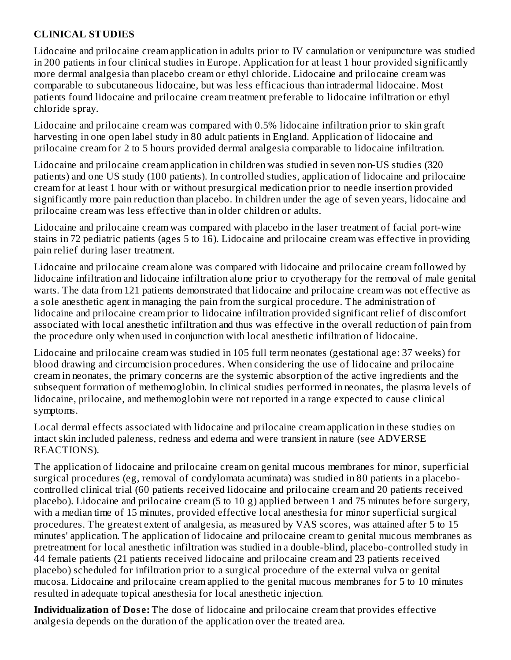### **CLINICAL STUDIES**

Lidocaine and prilocaine cream application in adults prior to IV cannulation or venipuncture was studied in 200 patients in four clinical studies in Europe. Application for at least 1 hour provided significantly more dermal analgesia than placebo cream or ethyl chloride. Lidocaine and prilocaine cream was comparable to subcutaneous lidocaine, but was less efficacious than intradermal lidocaine. Most patients found lidocaine and prilocaine cream treatment preferable to lidocaine infiltration or ethyl chloride spray.

Lidocaine and prilocaine cream was compared with 0.5% lidocaine infiltration prior to skin graft harvesting in one open label study in 80 adult patients in England. Application of lidocaine and prilocaine cream for 2 to 5 hours provided dermal analgesia comparable to lidocaine infiltration.

Lidocaine and prilocaine cream application in children was studied in seven non-US studies (320 patients) and one US study (100 patients). In controlled studies, application of lidocaine and prilocaine cream for at least 1 hour with or without presurgical medication prior to needle insertion provided significantly more pain reduction than placebo. In children under the age of seven years, lidocaine and prilocaine cream was less effective than in older children or adults.

Lidocaine and prilocaine cream was compared with placebo in the laser treatment of facial port-wine stains in 72 pediatric patients (ages 5 to 16). Lidocaine and prilocaine cream was effective in providing pain relief during laser treatment.

Lidocaine and prilocaine cream alone was compared with lidocaine and prilocaine cream followed by lidocaine infiltration and lidocaine infiltration alone prior to cryotherapy for the removal of male genital warts. The data from 121 patients demonstrated that lidocaine and prilocaine cream was not effective as a sole anesthetic agent in managing the pain from the surgical procedure. The administration of lidocaine and prilocaine cream prior to lidocaine infiltration provided significant relief of discomfort associated with local anesthetic infiltration and thus was effective in the overall reduction of pain from the procedure only when used in conjunction with local anesthetic infiltration of lidocaine.

Lidocaine and prilocaine cream was studied in 105 full term neonates (gestational age: 37 weeks) for blood drawing and circumcision procedures. When considering the use of lidocaine and prilocaine cream in neonates, the primary concerns are the systemic absorption of the active ingredients and the subsequent formation of methemoglobin. In clinical studies performed in neonates, the plasma levels of lidocaine, prilocaine, and methemoglobin were not reported in a range expected to cause clinical symptoms.

Local dermal effects associated with lidocaine and prilocaine cream application in these studies on intact skin included paleness, redness and edema and were transient in nature (see ADVERSE REACTIONS).

The application of lidocaine and prilocaine cream on genital mucous membranes for minor, superficial surgical procedures (eg, removal of condylomata acuminata) was studied in 80 patients in a placebocontrolled clinical trial (60 patients received lidocaine and prilocaine cream and 20 patients received placebo). Lidocaine and prilocaine cream (5 to 10 g) applied between 1 and 75 minutes before surgery, with a median time of 15 minutes, provided effective local anesthesia for minor superficial surgical procedures. The greatest extent of analgesia, as measured by VAS scores, was attained after 5 to 15 minutes' application. The application of lidocaine and prilocaine cream to genital mucous membranes as pretreatment for local anesthetic infiltration was studied in a double-blind, placebo-controlled study in 44 female patients (21 patients received lidocaine and prilocaine cream and 23 patients received placebo) scheduled for infiltration prior to a surgical procedure of the external vulva or genital mucosa. Lidocaine and prilocaine cream applied to the genital mucous membranes for 5 to 10 minutes resulted in adequate topical anesthesia for local anesthetic injection.

**Individualization of Dos e:** The dose of lidocaine and prilocaine cream that provides effective analgesia depends on the duration of the application over the treated area.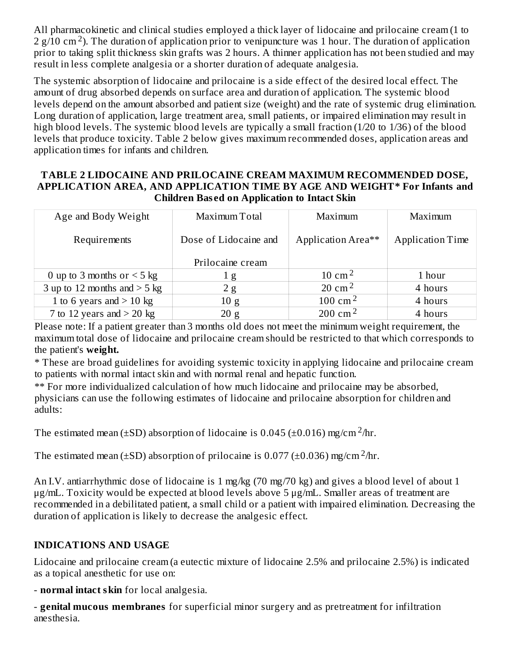All pharmacokinetic and clinical studies employed a thick layer of lidocaine and prilocaine cream (1 to 2  $g/10$  cm<sup>2</sup>). The duration of application prior to venipuncture was 1 hour. The duration of application prior to taking split thickness skin grafts was 2 hours. A thinner application has not been studied and may result in less complete analgesia or a shorter duration of adequate analgesia.

The systemic absorption of lidocaine and prilocaine is a side effect of the desired local effect. The amount of drug absorbed depends on surface area and duration of application. The systemic blood levels depend on the amount absorbed and patient size (weight) and the rate of systemic drug elimination. Long duration of application, large treatment area, small patients, or impaired elimination may result in high blood levels. The systemic blood levels are typically a small fraction (1/20 to 1/36) of the blood levels that produce toxicity. Table 2 below gives maximum recommended doses, application areas and application times for infants and children.

#### **TABLE 2 LIDOCAINE AND PRILOCAINE CREAM MAXIMUM RECOMMENDED DOSE, APPLICATION AREA, AND APPLICATION TIME BY AGE AND WEIGHT\* For Infants and Children Bas ed on Application to Intact Skin**

| Age and Body Weight             | Maximum Total         | Maximum             | Maximum          |  |
|---------------------------------|-----------------------|---------------------|------------------|--|
| Requirements                    | Dose of Lidocaine and | Application Area**  | Application Time |  |
|                                 | Prilocaine cream      |                     |                  |  |
| 0 up to 3 months or $\leq$ 5 kg | 1 g                   | $10 \text{ cm}^2$   | 1 hour           |  |
| 3 up to 12 months and $>$ 5 kg  | 2g                    | 20 cm <sup>2</sup>  | 4 hours          |  |
| 1 to 6 years and $>$ 10 kg      | 10g                   | 100 cm <sup>2</sup> | 4 hours          |  |
| 7 to 12 years and $>$ 20 kg     | 20 g                  | $200 \text{ cm}^2$  | 4 hours          |  |

Please note: If a patient greater than 3 months old does not meet the minimum weight requirement, the maximum total dose of lidocaine and prilocaine cream should be restricted to that which corresponds to the patient's **weight.**

\* These are broad guidelines for avoiding systemic toxicity in applying lidocaine and prilocaine cream to patients with normal intact skin and with normal renal and hepatic function.

\*\* For more individualized calculation of how much lidocaine and prilocaine may be absorbed, physicians can use the following estimates of lidocaine and prilocaine absorption for children and adults:

The estimated mean ( $\pm$ SD) absorption of lidocaine is 0.045 ( $\pm$ 0.016) mg/cm<sup>2</sup>/hr.

The estimated mean ( $\pm$ SD) absorption of prilocaine is 0.077 ( $\pm$ 0.036) mg/cm<sup>2</sup>/hr.

An I.V. antiarrhythmic dose of lidocaine is 1 mg/kg (70 mg/70 kg) and gives a blood level of about 1 μg/mL. Toxicity would be expected at blood levels above 5 μg/mL. Smaller areas of treatment are recommended in a debilitated patient, a small child or a patient with impaired elimination. Decreasing the duration of application is likely to decrease the analgesic effect.

# **INDICATIONS AND USAGE**

Lidocaine and prilocaine cream (a eutectic mixture of lidocaine 2.5% and prilocaine 2.5%) is indicated as a topical anesthetic for use on:

- **normal intact skin** for local analgesia.

- **genital mucous membranes** for superficial minor surgery and as pretreatment for infiltration anesthesia.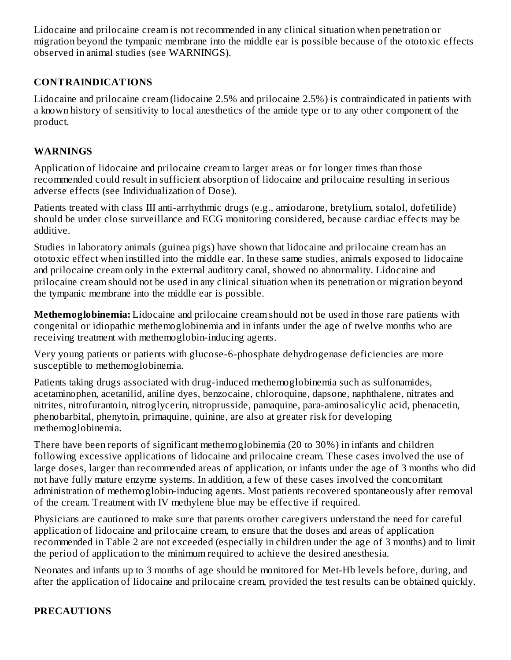Lidocaine and prilocaine cream is not recommended in any clinical situation when penetration or migration beyond the tympanic membrane into the middle ear is possible because of the ototoxic effects observed in animal studies (see WARNINGS).

## **CONTRAINDICATIONS**

Lidocaine and prilocaine cream (lidocaine 2.5% and prilocaine 2.5%) is contraindicated in patients with a known history of sensitivity to local anesthetics of the amide type or to any other component of the product.

### **WARNINGS**

Application of lidocaine and prilocaine cream to larger areas or for longer times than those recommended could result in sufficient absorption of lidocaine and prilocaine resulting in serious adverse effects (see Individualization of Dose).

Patients treated with class III anti-arrhythmic drugs (e.g., amiodarone, bretylium, sotalol, dofetilide) should be under close surveillance and ECG monitoring considered, because cardiac effects may be additive.

Studies in laboratory animals (guinea pigs) have shown that lidocaine and prilocaine cream has an ototoxic effect when instilled into the middle ear. In these same studies, animals exposed to lidocaine and prilocaine cream only in the external auditory canal, showed no abnormality. Lidocaine and prilocaine cream should not be used in any clinical situation when its penetration or migration beyond the tympanic membrane into the middle ear is possible.

**Methemoglobinemia:** Lidocaine and prilocaine cream should not be used in those rare patients with congenital or idiopathic methemoglobinemia and in infants under the age of twelve months who are receiving treatment with methemoglobin-inducing agents.

Very young patients or patients with glucose-6-phosphate dehydrogenase deficiencies are more susceptible to methemoglobinemia.

Patients taking drugs associated with drug-induced methemoglobinemia such as sulfonamides, acetaminophen, acetanilid, aniline dyes, benzocaine, chloroquine, dapsone, naphthalene, nitrates and nitrites, nitrofurantoin, nitroglycerin, nitroprusside, pamaquine, para-aminosalicylic acid, phenacetin, phenobarbital, phenytoin, primaquine, quinine, are also at greater risk for developing methemoglobinemia.

There have been reports of significant methemoglobinemia (20 to 30%) in infants and children following excessive applications of lidocaine and prilocaine cream. These cases involved the use of large doses, larger than recommended areas of application, or infants under the age of 3 months who did not have fully mature enzyme systems. In addition, a few of these cases involved the concomitant administration of methemoglobin-inducing agents. Most patients recovered spontaneously after removal of the cream. Treatment with IV methylene blue may be effective if required.

Physicians are cautioned to make sure that parents orother caregivers understand the need for careful application of lidocaine and prilocaine cream, to ensure that the doses and areas of application recommended in Table 2 are not exceeded (especially in children under the age of 3 months) and to limit the period of application to the minimum required to achieve the desired anesthesia.

Neonates and infants up to 3 months of age should be monitored for Met-Hb levels before, during, and after the application of lidocaine and prilocaine cream, provided the test results can be obtained quickly.

### **PRECAUTIONS**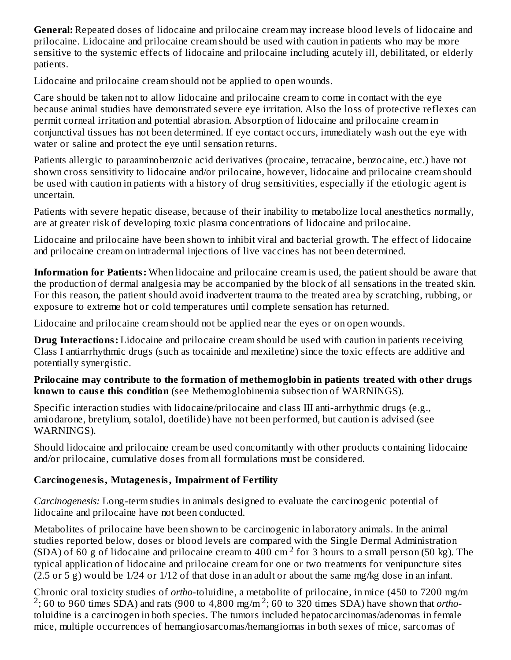**General:** Repeated doses of lidocaine and prilocaine cream may increase blood levels of lidocaine and prilocaine. Lidocaine and prilocaine cream should be used with caution in patients who may be more sensitive to the systemic effects of lidocaine and prilocaine including acutely ill, debilitated, or elderly patients.

Lidocaine and prilocaine cream should not be applied to open wounds.

Care should be taken not to allow lidocaine and prilocaine cream to come in contact with the eye because animal studies have demonstrated severe eye irritation. Also the loss of protective reflexes can permit corneal irritation and potential abrasion. Absorption of lidocaine and prilocaine cream in conjunctival tissues has not been determined. If eye contact occurs, immediately wash out the eye with water or saline and protect the eye until sensation returns.

Patients allergic to paraaminobenzoic acid derivatives (procaine, tetracaine, benzocaine, etc.) have not shown cross sensitivity to lidocaine and/or prilocaine, however, lidocaine and prilocaine cream should be used with caution in patients with a history of drug sensitivities, especially if the etiologic agent is uncertain.

Patients with severe hepatic disease, because of their inability to metabolize local anesthetics normally, are at greater risk of developing toxic plasma concentrations of lidocaine and prilocaine.

Lidocaine and prilocaine have been shown to inhibit viral and bacterial growth. The effect of lidocaine and prilocaine cream on intradermal injections of live vaccines has not been determined.

**Information for Patients:** When lidocaine and prilocaine cream is used, the patient should be aware that the production of dermal analgesia may be accompanied by the block of all sensations in the treated skin. For this reason, the patient should avoid inadvertent trauma to the treated area by scratching, rubbing, or exposure to extreme hot or cold temperatures until complete sensation has returned.

Lidocaine and prilocaine cream should not be applied near the eyes or on open wounds.

**Drug Interactions:** Lidocaine and prilocaine cream should be used with caution in patients receiving Class I antiarrhythmic drugs (such as tocainide and mexiletine) since the toxic effects are additive and potentially synergistic.

### **Prilocaine may contribute to the formation of methemoglobin in patients treated with other drugs known to caus e this condition** (see Methemoglobinemia subsection of WARNINGS).

Specific interaction studies with lidocaine/prilocaine and class III anti-arrhythmic drugs (e.g., amiodarone, bretylium, sotalol, doetilide) have not been performed, but caution is advised (see WARNINGS).

Should lidocaine and prilocaine cream be used concomitantly with other products containing lidocaine and/or prilocaine, cumulative doses from all formulations must be considered.

# **Carcinogenesis, Mutagenesis, Impairment of Fertility**

*Carcinogenesis:* Long-term studies in animals designed to evaluate the carcinogenic potential of lidocaine and prilocaine have not been conducted.

Metabolites of prilocaine have been shown to be carcinogenic in laboratory animals. In the animal studies reported below, doses or blood levels are compared with the Single Dermal Administration (SDA) of 60 g of lidocaine and prilocaine cream to 400 cm<sup>2</sup> for 3 hours to a small person (50 kg). The typical application of lidocaine and prilocaine cream for one or two treatments for venipuncture sites (2.5 or 5 g) would be 1/24 or 1/12 of that dose in an adult or about the same mg/kg dose in an infant.

Chronic oral toxicity studies of *ortho*-toluidine, a metabolite of prilocaine, in mice (450 to 7200 mg/m  $2$ ; 60 to 960 times SDA) and rats (900 to 4,800 mg/m<sup>2</sup>; 60 to 320 times SDA) have shown that *ortho*toluidine is a carcinogen in both species. The tumors included hepatocarcinomas/adenomas in female mice, multiple occurrences of hemangiosarcomas/hemangiomas in both sexes of mice, sarcomas of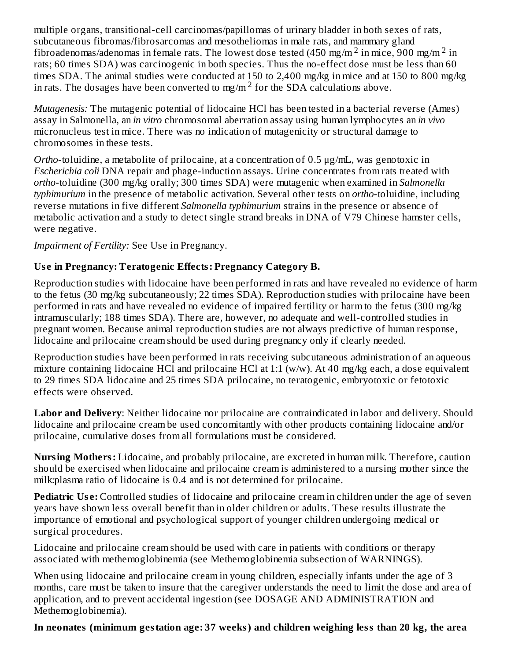multiple organs, transitional-cell carcinomas/papillomas of urinary bladder in both sexes of rats, subcutaneous fibromas/fibrosarcomas and mesotheliomas in male rats, and mammary gland fibroadenomas/adenomas in female rats. The lowest dose tested (450 mg/m  $^2$  in mice, 900 mg/m  $^2$  in rats; 60 times SDA) was carcinogenic in both species. Thus the no-effect dose must be less than 60 times SDA. The animal studies were conducted at 150 to 2,400 mg/kg in mice and at 150 to 800 mg/kg in rats. The dosages have been converted to mg/m<sup>2</sup> for the SDA calculations above.

*Mutagenesis:* The mutagenic potential of lidocaine HCl has been tested in a bacterial reverse (Ames) assay in Salmonella, an *in vitro* chromosomal aberration assay using human lymphocytes an *in vivo* micronucleus test in mice. There was no indication of mutagenicity or structural damage to chromosomes in these tests.

*Ortho*-toluidine, a metabolite of prilocaine, at a concentration of 0.5 μg/mL, was genotoxic in *Escherichia coli* DNA repair and phage-induction assays. Urine concentrates from rats treated with *ortho*-toluidine (300 mg/kg orally; 300 times SDA) were mutagenic when examined in *Salmonella typhimurium* in the presence of metabolic activation. Several other tests on *ortho*-toluidine, including reverse mutations in five different *Salmonella typhimurium* strains in the presence or absence of metabolic activation and a study to detect single strand breaks in DNA of V79 Chinese hamster cells, were negative.

*Impairment of Fertility:* See Use in Pregnancy.

# **Us e in Pregnancy: Teratogenic Effects: Pregnancy Category B.**

Reproduction studies with lidocaine have been performed in rats and have revealed no evidence of harm to the fetus (30 mg/kg subcutaneously; 22 times SDA). Reproduction studies with prilocaine have been performed in rats and have revealed no evidence of impaired fertility or harm to the fetus (300 mg/kg intramuscularly; 188 times SDA). There are, however, no adequate and well-controlled studies in pregnant women. Because animal reproduction studies are not always predictive of human response, lidocaine and prilocaine cream should be used during pregnancy only if clearly needed.

Reproduction studies have been performed in rats receiving subcutaneous administration of an aqueous mixture containing lidocaine HCl and prilocaine HCl at 1:1 (w/w). At 40 mg/kg each, a dose equivalent to 29 times SDA lidocaine and 25 times SDA prilocaine, no teratogenic, embryotoxic or fetotoxic effects were observed.

**Labor and Delivery**: Neither lidocaine nor prilocaine are contraindicated in labor and delivery. Should lidocaine and prilocaine cream be used concomitantly with other products containing lidocaine and/or prilocaine, cumulative doses from all formulations must be considered.

**Nursing Mothers:** Lidocaine, and probably prilocaine, are excreted in human milk. Therefore, caution should be exercised when lidocaine and prilocaine cream is administered to a nursing mother since the milk:plasma ratio of lidocaine is 0.4 and is not determined for prilocaine.

**Pediatric Use:** Controlled studies of lidocaine and prilocaine cream in children under the age of seven years have shown less overall benefit than in older children or adults. These results illustrate the importance of emotional and psychological support of younger children undergoing medical or surgical procedures.

Lidocaine and prilocaine cream should be used with care in patients with conditions or therapy associated with methemoglobinemia (see Methemoglobinemia subsection of WARNINGS).

When using lidocaine and prilocaine cream in young children, especially infants under the age of 3 months, care must be taken to insure that the caregiver understands the need to limit the dose and area of application, and to prevent accidental ingestion (see DOSAGE AND ADMINISTRATION and Methemoglobinemia).

**In neonates (minimum gestation age: 37 weeks) and children weighing less than 20 kg, the area**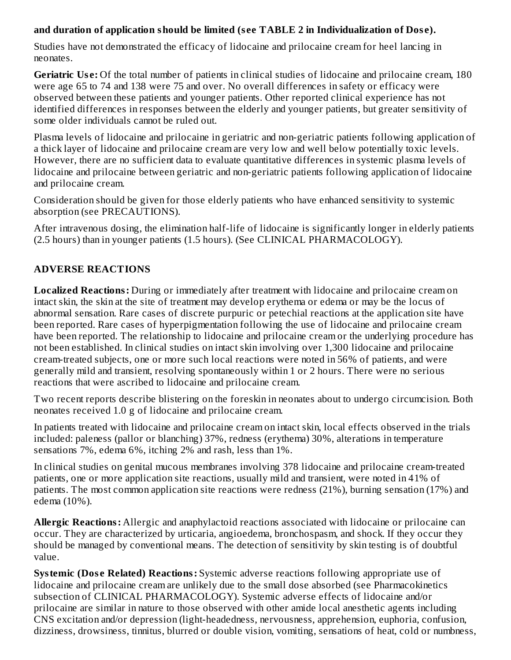### **and duration of application should be limited (s ee TABLE 2 in Individualization of Dos e).**

Studies have not demonstrated the efficacy of lidocaine and prilocaine cream for heel lancing in neonates.

**Geriatric Us e:** Of the total number of patients in clinical studies of lidocaine and prilocaine cream, 180 were age 65 to 74 and 138 were 75 and over. No overall differences in safety or efficacy were observed between these patients and younger patients. Other reported clinical experience has not identified differences in responses between the elderly and younger patients, but greater sensitivity of some older individuals cannot be ruled out.

Plasma levels of lidocaine and prilocaine in geriatric and non-geriatric patients following application of a thick layer of lidocaine and prilocaine cream are very low and well below potentially toxic levels. However, there are no sufficient data to evaluate quantitative differences in systemic plasma levels of lidocaine and prilocaine between geriatric and non-geriatric patients following application of lidocaine and prilocaine cream.

Consideration should be given for those elderly patients who have enhanced sensitivity to systemic absorption (see PRECAUTIONS).

After intravenous dosing, the elimination half-life of lidocaine is significantly longer in elderly patients (2.5 hours) than in younger patients (1.5 hours). (See CLINICAL PHARMACOLOGY).

# **ADVERSE REACTIONS**

**Localized Reactions:** During or immediately after treatment with lidocaine and prilocaine cream on intact skin, the skin at the site of treatment may develop erythema or edema or may be the locus of abnormal sensation. Rare cases of discrete purpuric or petechial reactions at the application site have been reported. Rare cases of hyperpigmentation following the use of lidocaine and prilocaine cream have been reported. The relationship to lidocaine and prilocaine cream or the underlying procedure has not been established. In clinical studies on intact skin involving over 1,300 lidocaine and prilocaine cream-treated subjects, one or more such local reactions were noted in 56% of patients, and were generally mild and transient, resolving spontaneously within 1 or 2 hours. There were no serious reactions that were ascribed to lidocaine and prilocaine cream.

Two recent reports describe blistering on the foreskin in neonates about to undergo circumcision. Both neonates received 1.0 g of lidocaine and prilocaine cream.

In patients treated with lidocaine and prilocaine cream on intact skin, local effects observed in the trials included: paleness (pallor or blanching) 37%, redness (erythema) 30%, alterations in temperature sensations 7%, edema 6%, itching 2% and rash, less than 1%.

In clinical studies on genital mucous membranes involving 378 lidocaine and prilocaine cream-treated patients, one or more application site reactions, usually mild and transient, were noted in 41% of patients. The most common application site reactions were redness (21%), burning sensation (17%) and edema (10%).

**Allergic Reactions:** Allergic and anaphylactoid reactions associated with lidocaine or prilocaine can occur. They are characterized by urticaria, angioedema, bronchospasm, and shock. If they occur they should be managed by conventional means. The detection of sensitivity by skin testing is of doubtful value.

**Systemic (Dos e Related) Reactions:** Systemic adverse reactions following appropriate use of lidocaine and prilocaine cream are unlikely due to the small dose absorbed (see Pharmacokinetics subsection of CLINICAL PHARMACOLOGY). Systemic adverse effects of lidocaine and/or prilocaine are similar in nature to those observed with other amide local anesthetic agents including CNS excitation and/or depression (light-headedness, nervousness, apprehension, euphoria, confusion, dizziness, drowsiness, tinnitus, blurred or double vision, vomiting, sensations of heat, cold or numbness,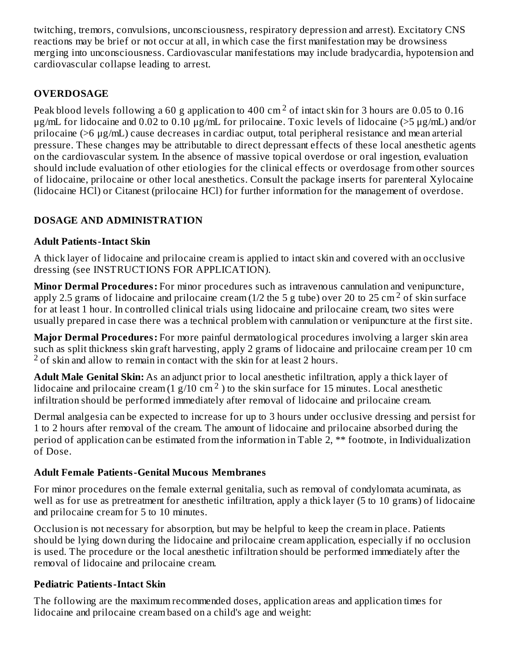twitching, tremors, convulsions, unconsciousness, respiratory depression and arrest). Excitatory CNS reactions may be brief or not occur at all, in which case the first manifestation may be drowsiness merging into unconsciousness. Cardiovascular manifestations may include bradycardia, hypotension and cardiovascular collapse leading to arrest.

## **OVERDOSAGE**

Peak blood levels following a 60 g application to 400 cm  $^2$  of intact skin for 3 hours are 0.05 to 0.16 μg/mL for lidocaine and 0.02 to 0.10 μg/mL for prilocaine. Toxic levels of lidocaine (>5 μg/mL) and/or prilocaine (>6 μg/mL) cause decreases in cardiac output, total peripheral resistance and mean arterial pressure. These changes may be attributable to direct depressant effects of these local anesthetic agents on the cardiovascular system. In the absence of massive topical overdose or oral ingestion, evaluation should include evaluation of other etiologies for the clinical effects or overdosage from other sources of lidocaine, prilocaine or other local anesthetics. Consult the package inserts for parenteral Xylocaine (lidocaine HCl) or Citanest (prilocaine HCl) for further information for the management of overdose.

## **DOSAGE AND ADMINISTRATION**

### **Adult Patients-Intact Skin**

A thick layer of lidocaine and prilocaine cream is applied to intact skin and covered with an occlusive dressing (see INSTRUCTIONS FOR APPLICATION).

**Minor Dermal Procedures:** For minor procedures such as intravenous cannulation and venipuncture, apply 2.5 grams of lidocaine and prilocaine cream (1/2 the 5 g tube) over 20 to 25 cm<sup>2</sup> of skin surface for at least 1 hour. In controlled clinical trials using lidocaine and prilocaine cream, two sites were usually prepared in case there was a technical problem with cannulation or venipuncture at the first site.

**Major Dermal Procedures:** For more painful dermatological procedures involving a larger skin area such as split thickness skin graft harvesting, apply 2 grams of lidocaine and prilocaine cream per 10 cm  $2$  of skin and allow to remain in contact with the skin for at least 2 hours.

**Adult Male Genital Skin:** As an adjunct prior to local anesthetic infiltration, apply a thick layer of lidocaine and prilocaine cream  $(1 g/10 cm<sup>2</sup>)$  to the skin surface for 15 minutes. Local anesthetic infiltration should be performed immediately after removal of lidocaine and prilocaine cream.

Dermal analgesia can be expected to increase for up to 3 hours under occlusive dressing and persist for 1 to 2 hours after removal of the cream. The amount of lidocaine and prilocaine absorbed during the period of application can be estimated from the information in Table 2, \*\* footnote, in Individualization of Dose.

### **Adult Female Patients-Genital Mucous Membranes**

For minor procedures on the female external genitalia, such as removal of condylomata acuminata, as well as for use as pretreatment for anesthetic infiltration, apply a thick layer (5 to 10 grams) of lidocaine and prilocaine cream for 5 to 10 minutes.

Occlusion is not necessary for absorption, but may be helpful to keep the cream in place. Patients should be lying down during the lidocaine and prilocaine cream application, especially if no occlusion is used. The procedure or the local anesthetic infiltration should be performed immediately after the removal of lidocaine and prilocaine cream.

## **Pediatric Patients-Intact Skin**

The following are the maximum recommended doses, application areas and application times for lidocaine and prilocaine cream based on a child's age and weight: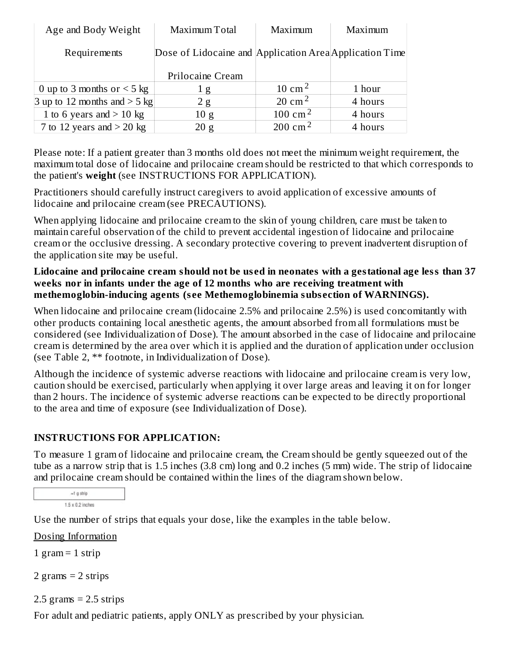| Age and Body Weight            | Maximum Total    | Maximum                                                 | Maximum |  |
|--------------------------------|------------------|---------------------------------------------------------|---------|--|
| Requirements                   |                  | Dose of Lidocaine and Application Area Application Time |         |  |
|                                | Prilocaine Cream |                                                         |         |  |
| 0 up to 3 months or $<$ 5 kg   | 1g               | 10 cm <sup>2</sup>                                      | 1 hour  |  |
| 3 up to 12 months and $>$ 5 kg | 2g               | 20 cm <sup>2</sup>                                      | 4 hours |  |
| 1 to 6 years and $>$ 10 kg     | 10 g             | 100 cm <sup>2</sup>                                     | 4 hours |  |
| 7 to 12 years and $>$ 20 kg    | 20 g             | 200 cm <sup>2</sup>                                     | 4 hours |  |

Please note: If a patient greater than 3 months old does not meet the minimum weight requirement, the maximum total dose of lidocaine and prilocaine cream should be restricted to that which corresponds to the patient's **weight** (see INSTRUCTIONS FOR APPLICATION).

Practitioners should carefully instruct caregivers to avoid application of excessive amounts of lidocaine and prilocaine cream (see PRECAUTIONS).

When applying lidocaine and prilocaine cream to the skin of young children, care must be taken to maintain careful observation of the child to prevent accidental ingestion of lidocaine and prilocaine cream or the occlusive dressing. A secondary protective covering to prevent inadvertent disruption of the application site may be useful.

### **Lidocaine and prilocaine cream should not be us ed in neonates with a gestational age less than 37 weeks nor in infants under the age of 12 months who are receiving treatment with methemoglobin-inducing agents (s ee Methemoglobinemia subs ection of WARNINGS).**

When lidocaine and prilocaine cream (lidocaine 2.5% and prilocaine 2.5%) is used concomitantly with other products containing local anesthetic agents, the amount absorbed from all formulations must be considered (see Individualization of Dose). The amount absorbed in the case of lidocaine and prilocaine cream is determined by the area over which it is applied and the duration of application under occlusion (see Table 2, \*\* footnote, in Individualization of Dose).

Although the incidence of systemic adverse reactions with lidocaine and prilocaine cream is very low, caution should be exercised, particularly when applying it over large areas and leaving it on for longer than 2 hours. The incidence of systemic adverse reactions can be expected to be directly proportional to the area and time of exposure (see Individualization of Dose).

## **INSTRUCTIONS FOR APPLICATION:**

To measure 1 gram of lidocaine and prilocaine cream, the Cream should be gently squeezed out of the tube as a narrow strip that is 1.5 inches (3.8 cm) long and 0.2 inches (5 mm) wide. The strip of lidocaine and prilocaine cream should be contained within the lines of the diagram shown below.

 $-1$  g strip  $1.5 \times 0.2$  inches

Use the number of strips that equals your dose, like the examples in the table below.

Dosing Information

1 gram  $=$  1 strip

2 grams = 2 strips

 $2.5$  grams =  $2.5$  strips

For adult and pediatric patients, apply ONLY as prescribed by your physician.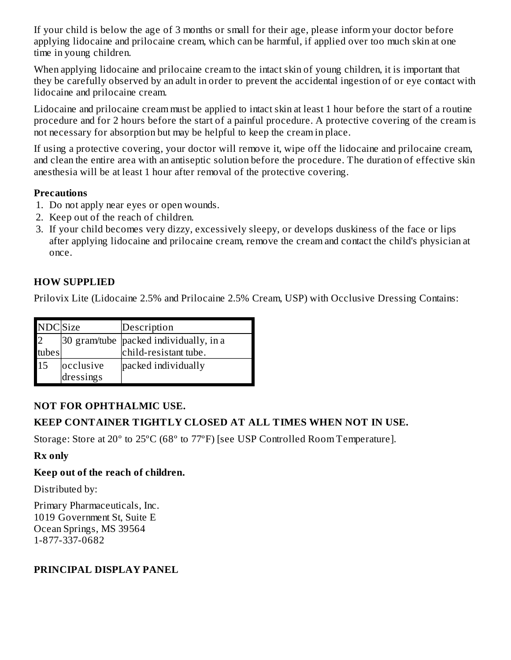If your child is below the age of 3 months or small for their age, please inform your doctor before applying lidocaine and prilocaine cream, which can be harmful, if applied over too much skin at one time in young children.

When applying lidocaine and prilocaine cream to the intact skin of young children, it is important that they be carefully observed by an adult in order to prevent the accidental ingestion of or eye contact with lidocaine and prilocaine cream.

Lidocaine and prilocaine cream must be applied to intact skin at least 1 hour before the start of a routine procedure and for 2 hours before the start of a painful procedure. A protective covering of the cream is not necessary for absorption but may be helpful to keep the cream in place.

If using a protective covering, your doctor will remove it, wipe off the lidocaine and prilocaine cream, and clean the entire area with an antiseptic solution before the procedure. The duration of effective skin anesthesia will be at least 1 hour after removal of the protective covering.

#### **Precautions**

- 1. Do not apply near eyes or open wounds.
- 2. Keep out of the reach of children.
- 3. If your child becomes very dizzy, excessively sleepy, or develops duskiness of the face or lips after applying lidocaine and prilocaine cream, remove the cream and contact the child's physician at once.

### **HOW SUPPLIED**

Prilovix Lite (Lidocaine 2.5% and Prilocaine 2.5% Cream, USP) with Occlusive Dressing Contains:

| <b>NDC</b> Size |                        | Description                                                       |
|-----------------|------------------------|-------------------------------------------------------------------|
| 2<br>tubes      |                        | 30 gram/tube   packed individually, in a<br>child-resistant tube. |
| 15              | occlusive<br>dressings | packed individually                                               |

### **NOT FOR OPHTHALMIC USE.**

### **KEEP CONTAINER TIGHTLY CLOSED AT ALL TIMES WHEN NOT IN USE.**

Storage: Store at 20º to 25ºC (68º to 77ºF) [see USP Controlled Room Temperature].

### **Rx only**

### **Keep out of the reach of children.**

Distributed by:

Primary Pharmaceuticals, Inc. 1019 Government St, Suite E Ocean Springs, MS 39564 1-877-337-0682

#### **PRINCIPAL DISPLAY PANEL**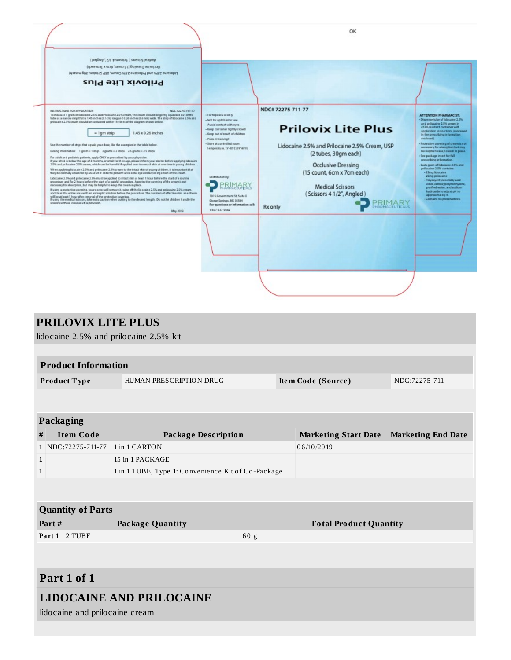

| <b>PRILOVIX LITE PLUS</b>              |                                                    |                               |                             |                           |  |  |
|----------------------------------------|----------------------------------------------------|-------------------------------|-----------------------------|---------------------------|--|--|
| lidocaine 2.5% and prilocaine 2.5% kit |                                                    |                               |                             |                           |  |  |
|                                        |                                                    |                               |                             |                           |  |  |
| <b>Product Information</b>             |                                                    |                               |                             |                           |  |  |
| Product Type                           | HUMAN PRESCRIPTION DRUG                            | Item Code (Source)            |                             | NDC:72275-711             |  |  |
|                                        |                                                    |                               |                             |                           |  |  |
|                                        |                                                    |                               |                             |                           |  |  |
| Packaging                              |                                                    |                               |                             |                           |  |  |
| <b>Item Code</b><br>#                  | <b>Package Description</b>                         |                               | <b>Marketing Start Date</b> | <b>Marketing End Date</b> |  |  |
| 1 NDC:72275-711-77                     | 1 in 1 CARTON                                      |                               | 06/10/2019                  |                           |  |  |
| $\mathbf{1}$                           | 15 in 1 PACKAGE                                    |                               |                             |                           |  |  |
| $\mathbf{1}$                           | 1 in 1 TUBE; Type 1: Convenience Kit of Co-Package |                               |                             |                           |  |  |
|                                        |                                                    |                               |                             |                           |  |  |
|                                        |                                                    |                               |                             |                           |  |  |
| <b>Quantity of Parts</b>               |                                                    |                               |                             |                           |  |  |
| Part#                                  | <b>Package Quantity</b>                            | <b>Total Product Quantity</b> |                             |                           |  |  |
| Part 1 2 TUBE                          |                                                    |                               |                             |                           |  |  |
|                                        |                                                    |                               |                             |                           |  |  |
|                                        |                                                    |                               |                             |                           |  |  |
| Part 1 of 1                            |                                                    |                               |                             |                           |  |  |
| <b>LIDOCAINE AND PRILOCAINE</b>        |                                                    |                               |                             |                           |  |  |
| lidocaine and prilocaine cream         |                                                    |                               |                             |                           |  |  |
|                                        |                                                    |                               |                             |                           |  |  |
|                                        |                                                    |                               |                             |                           |  |  |